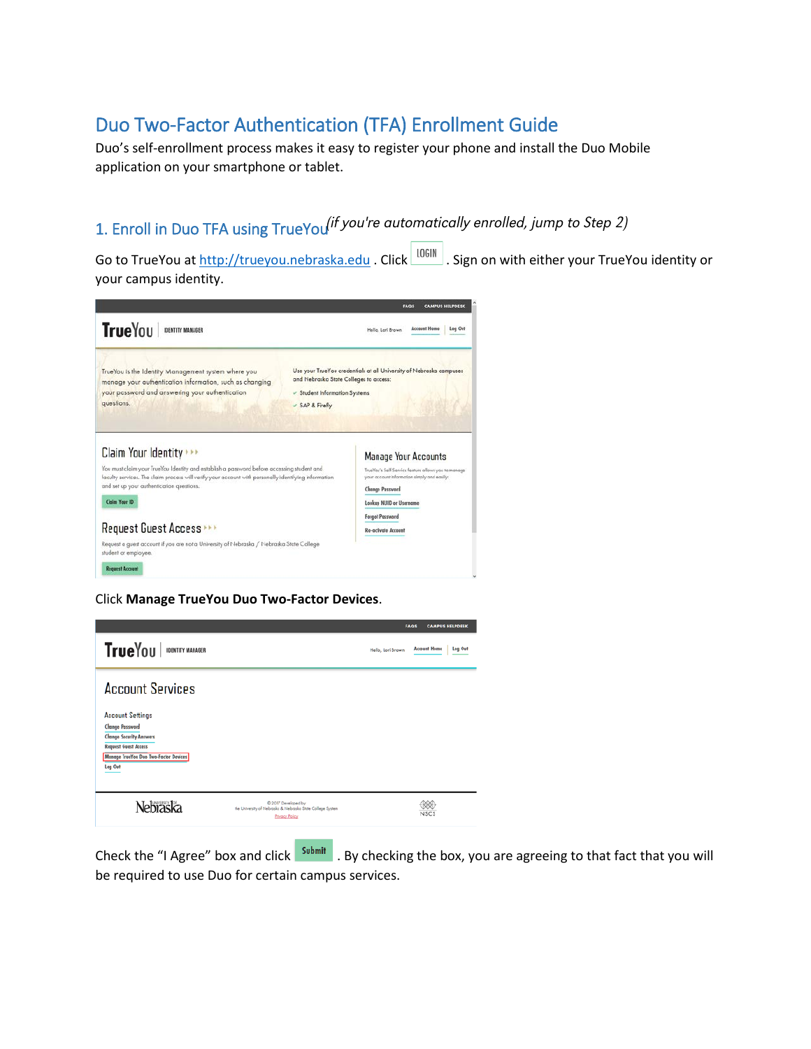# Duo Two-Factor Authentication (TFA) Enrollment Guide

Duo's self-enrollment process makes it easy to register your phone and install the Duo Mobile application on your smartphone or tablet.

# 1. Enroll in Duo TFA using TrueYou<sup>(if</sup> you're automatically enrolled, jump to Step 2)

Go to TrueYou a[t http://trueyou.nebraska.edu](http://trueyou.nebraska.edu/) . Click  $\vert$  LOGIN . Sign on with either your TrueYou identity or your campus identity.



Click **Manage TrueYou Duo Two-Factor Devices**.



Check the "I Agree" box and click submit . By checking the box, you are agreeing to that fact that you will be required to use Duo for certain campus services.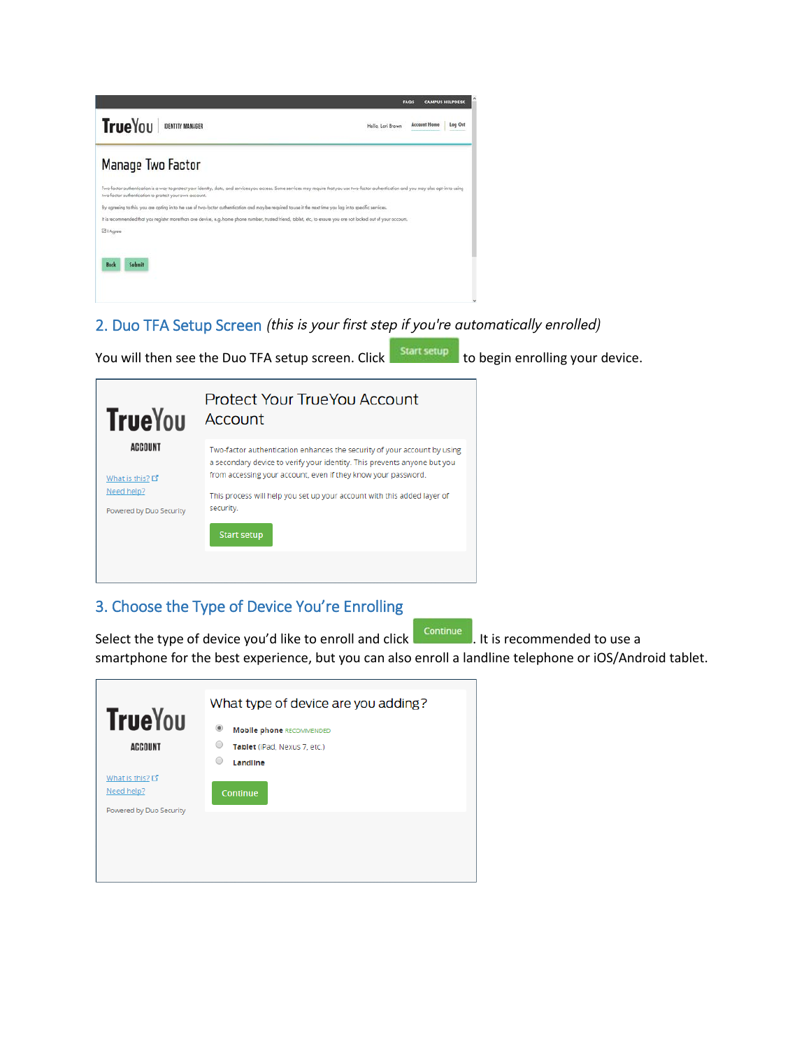

# 2. Duo TFA Setup Screen (this is your first step if you're automatically enrolled)

You will then see the Duo TFA setup screen. Click start setup to begin enrolling your device.



### 3. Choose the Type of Device You're Enrolling

Select the type of device you'd like to enroll and click **Continue** . It is recommended to use a

smartphone for the best experience, but you can also enroll a landline telephone or iOS/Android tablet.

| <b>TrueYou</b><br><b>ACCOUNT</b>                         | What type of device are you adding?<br>$^{\circ}$<br><b>Mobile phone RECOMMENDED</b><br>0<br>Tablet (iPad, Nexus 7, etc.)<br>O<br>Landline |
|----------------------------------------------------------|--------------------------------------------------------------------------------------------------------------------------------------------|
| What is this? 다<br>Need help?<br>Powered by Duo Security | Continue                                                                                                                                   |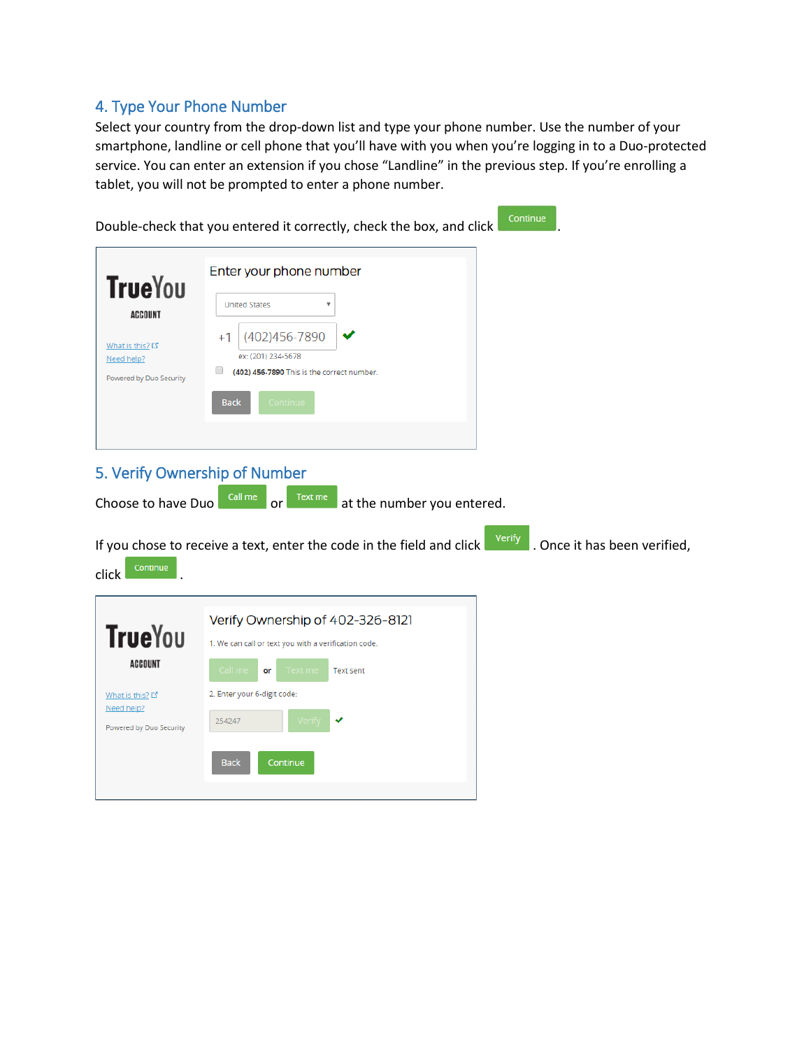# 4. Type Your Phone Number

Select your country from the drop-down list and type your phone number. Use the number of your smartphone, landline or cell phone that you'll have with you when you're logging in to a Duo-protected service. You can enter an extension if you chose "Landline" in the previous step. If you're enrolling a tablet, you will not be prompted to enter a phone number.

|                                                                                              | Continue<br>Double-check that you entered it correctly, check the box, and click                                                                                                                                  |
|----------------------------------------------------------------------------------------------|-------------------------------------------------------------------------------------------------------------------------------------------------------------------------------------------------------------------|
| <b>TrueYou</b><br><b>ACCOUNT</b><br>What is this? 다<br>Need help?<br>Powered by Duo Security | Enter your phone number<br><b>United States</b><br>(402)456-7890<br>$+1$<br>ex: (201) 234-5678<br>$\Box$<br>(402) 456-7890 This is the correct number.<br>Continue<br><b>Back</b>                                 |
| Choose to have Duo<br>Continue<br>click                                                      | 5. Verify Ownership of Number<br>Call me<br>Text me<br>at the number you entered.<br>or<br><b>Verify</b><br>. Once it has been verified,<br>If you chose to receive a text, enter the code in the field and click |
| <b>TrueYou</b><br>ACCOUNT<br>What is this? 다<br>Need help?<br>Powered by Duo Security        | Verify Ownership of 402-326-8121<br>1. We can call or text you with a verification code.<br>Call me<br>Text me<br>or<br><b>Text sent</b><br>2. Enter your 6-digit code:<br>254247<br><b>Back</b><br>Continue      |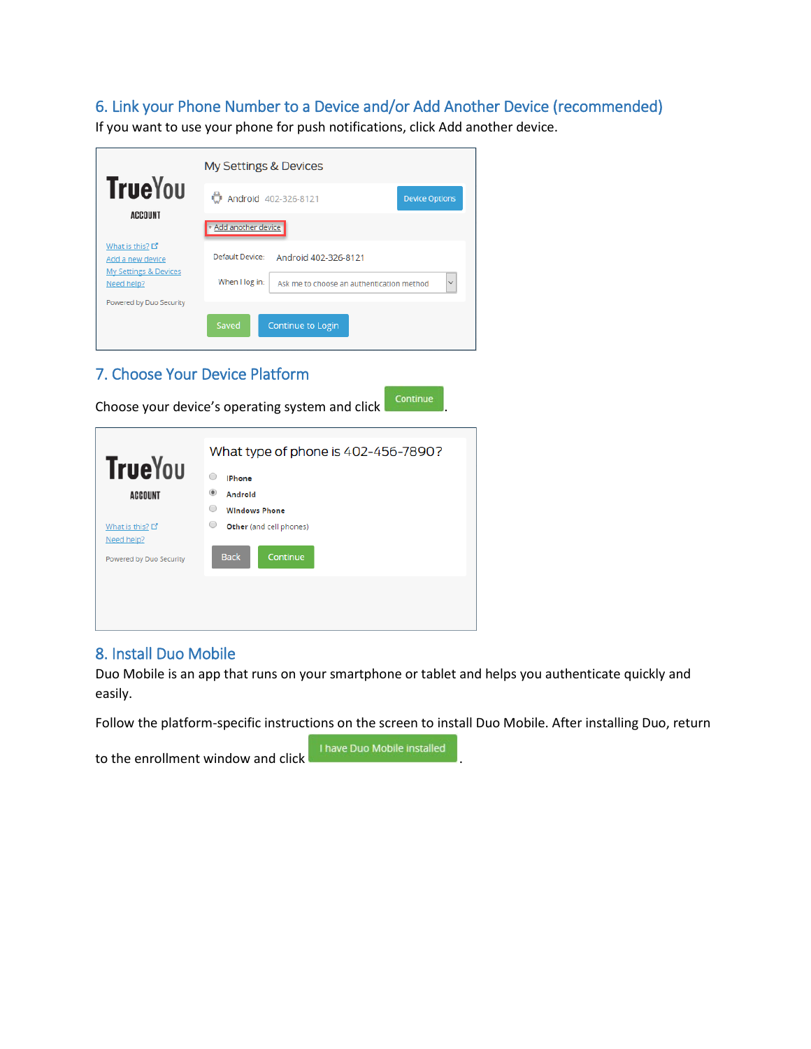# 6. Link your Phone Number to a Device and/or Add Another Device (recommended)

If you want to use your phone for push notifications, click Add another device.

|                                                                          | <b>My Settings &amp; Devices</b>                                            |
|--------------------------------------------------------------------------|-----------------------------------------------------------------------------|
| <b>TrueYou</b>                                                           | Android 402-326-8121<br><b>Device Options</b>                               |
| <b>ACCOUNT</b>                                                           | + Add another device                                                        |
| What is this? L'<br>Add a new device<br><b>My Settings &amp; Devices</b> | Default Device:<br>Android 402-326-8121                                     |
| Need help?                                                               | $\checkmark$<br>When I log in:<br>Ask me to choose an authentication method |
| Powered by Duo Security                                                  | Saved<br><b>Continue to Login</b>                                           |

# 7. Choose Your Device Platform

Choose your device's operating system and click **Continue** 

|                                       | What type of phone is 402-456-7890? |  |  |
|---------------------------------------|-------------------------------------|--|--|
| <b>TrueYou</b>                        | ∩<br><b>IPhone</b>                  |  |  |
| <b>ACCOUNT</b>                        | $^{\circ}$<br>Androld               |  |  |
|                                       | O<br><b>Windows Phone</b>           |  |  |
| What is this? L'                      | 0<br>Other (and cell phones)        |  |  |
| Need help?<br>Powered by Duo Security | <b>Back</b><br>Continue             |  |  |
|                                       |                                     |  |  |
|                                       |                                     |  |  |
|                                       |                                     |  |  |

### 8. Install Duo Mobile

Duo Mobile is an app that runs on your smartphone or tablet and helps you authenticate quickly and easily.

Follow the platform-specific instructions on the screen to install Duo Mobile. After installing Duo, return

to the enrollment window and click

I have Duo Mobile installed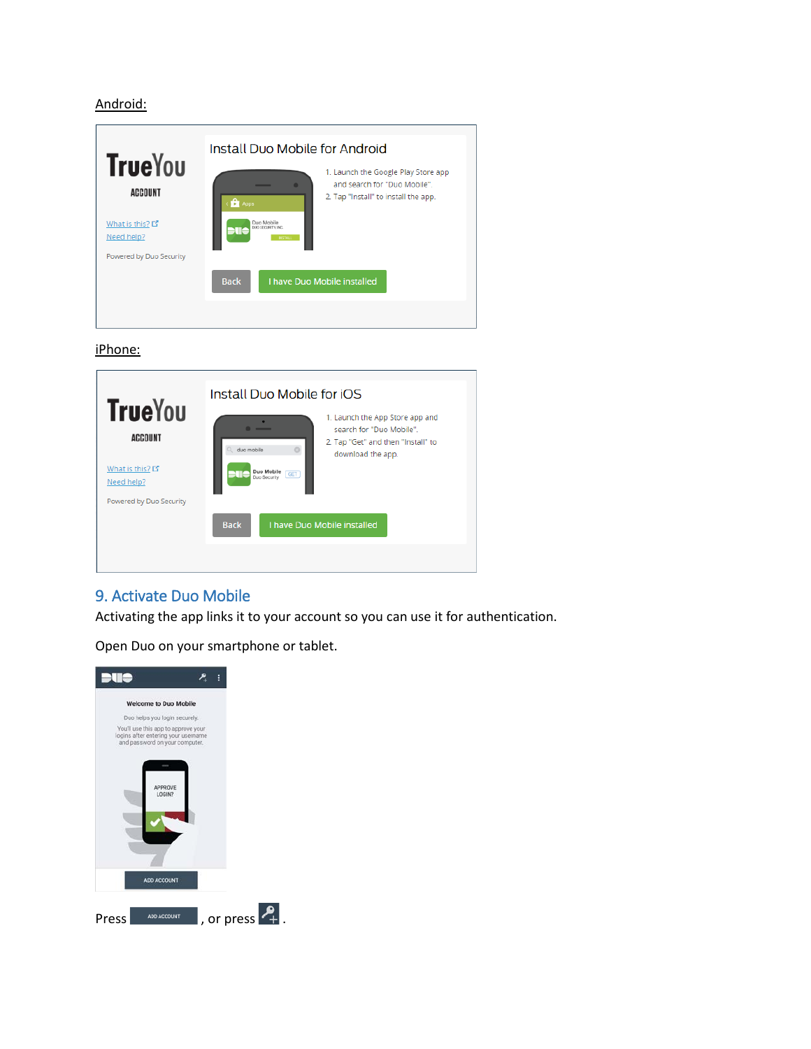#### Android:

| <b>TrueYou</b><br><b>ACCOUNT</b><br>What is this? 다<br>Need help? | Install Duo Mobile for Android<br>1. Launch the Google Play Store app<br>and search for "Duo Mobile".<br>2. Tap "Install" to install the app.<br><b>D</b> Apps<br>Duo Mobile<br>DUO SECURITY INC.<br><b>PESTALL</b> |
|-------------------------------------------------------------------|---------------------------------------------------------------------------------------------------------------------------------------------------------------------------------------------------------------------|
| Powered by Duo Security                                           | I have Duo Mobile installed<br><b>Back</b>                                                                                                                                                                          |

#### iPhone:



## 9. Activate Duo Mobile

Activating the app links it to your account so you can use it for authentication.

Open Duo on your smartphone or tablet.

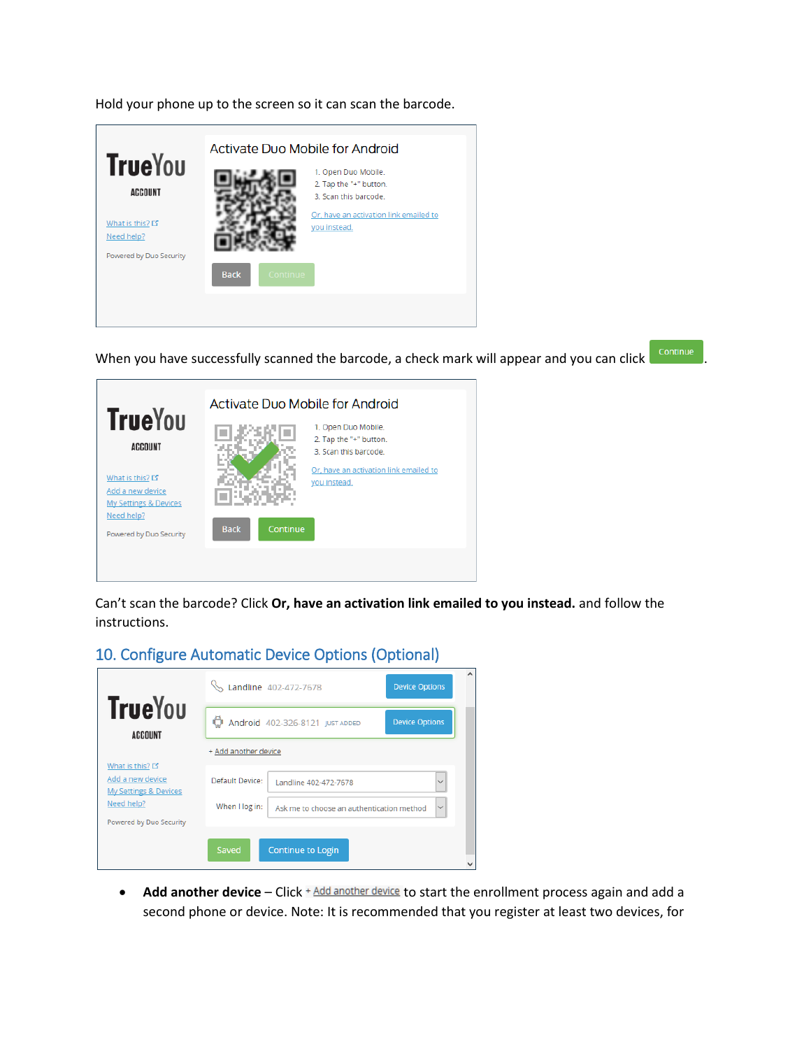Hold your phone up to the screen so it can scan the barcode.

|                                       | Activate Duo Mobile for Android |                 |                                                                                |  |
|---------------------------------------|---------------------------------|-----------------|--------------------------------------------------------------------------------|--|
| <b>TrueYou</b><br><b>ACCOUNT</b>      |                                 |                 | 1. Open Duo Mobile.<br>2. Tap the "+" button.                                  |  |
| What is this? L'                      |                                 |                 | 3. Scan this barcode<br>Or, have an activation link emailed to<br>you instead. |  |
| Need help?<br>Powered by Duo Security |                                 |                 |                                                                                |  |
|                                       | <b>Back</b>                     | <b>Continue</b> |                                                                                |  |
|                                       |                                 |                 |                                                                                |  |

When you have successfully scanned the barcode, a check mark will appear and you can click **Continue** 

| <b>TrueYou</b>                                                 | Activate Duo Mobile for Android                                |  |  |
|----------------------------------------------------------------|----------------------------------------------------------------|--|--|
| <b>ACCOUNT</b>                                                 | 1. Open Duo Mobile.<br>2. Tap the "+" button.                  |  |  |
|                                                                | 3. Scan this barcode<br>Or, have an activation link emailed to |  |  |
| What is this? L'<br>Add a new device                           | you instead.                                                   |  |  |
| My Settings & Devices<br>Need help?<br>Powered by Duo Security | <b>Back</b><br>Continue                                        |  |  |
|                                                                |                                                                |  |  |

Can't scan the barcode? Click **Or, have an activation link emailed to you instead.** and follow the instructions.

# 10. Configure Automatic Device Options (Optional)

|                                                      | Landline 402-472-7678<br><b>Device Options</b>                              | ۸ |
|------------------------------------------------------|-----------------------------------------------------------------------------|---|
| <b>TrueYou</b><br><b>ACCOUNT</b>                     | <b>D</b> Android 402-326-8121 JUST ADDED<br><b>Device Options</b>           |   |
| What is this? L                                      | + Add another device                                                        |   |
| Add a new device<br><b>My Settings &amp; Devices</b> | Default Device:<br>$\checkmark$<br>Landline 402-472-7678                    |   |
| Need help?<br>Powered by Duo Security                | When I log in:<br>$\checkmark$<br>Ask me to choose an authentication method |   |
|                                                      | Saved<br><b>Continue to Login</b>                                           |   |
|                                                      |                                                                             |   |

• Add another device – Click <sup>+</sup> Add another device to start the enrollment process again and add a second phone or device. Note: It is recommended that you register at least two devices, for